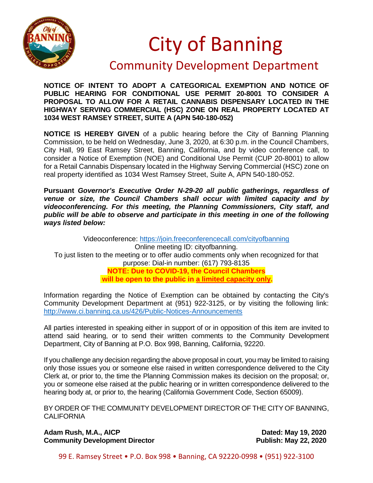

## City of Banning

## Community Development Department

**NOTICE OF INTENT TO ADOPT A CATEGORICAL EXEMPTION AND NOTICE OF PUBLIC HEARING FOR CONDITIONAL USE PERMIT 20-8001 TO CONSIDER A PROPOSAL TO ALLOW FOR A RETAIL CANNABIS DISPENSARY LOCATED IN THE HIGHWAY SERVING COMMERCIAL (HSC) ZONE ON REAL PROPERTY LOCATED AT 1034 WEST RAMSEY STREET, SUITE A (APN 540-180-052)**

**NOTICE IS HEREBY GIVEN** of a public hearing before the City of Banning Planning Commission, to be held on Wednesday, June 3, 2020, at 6:30 p.m. in the Council Chambers, City Hall, 99 East Ramsey Street, Banning, California, and by video conference call, to consider a Notice of Exemption (NOE) and Conditional Use Permit (CUP 20-8001) to allow for a Retail Cannabis Dispensary located in the Highway Serving Commercial (HSC) zone on real property identified as 1034 West Ramsey Street, Suite A, APN 540-180-052.

**Pursuant** *Governor's Executive Order N-29-20 all public gatherings, regardless of venue or size, the Council Chambers shall occur with limited capacity and by videoconferencing. For this meeting, the Planning Commissioners, City staff, and public will be able to observe and participate in this meeting in one of the following ways listed below:*

Videoconference:<https://join.freeconferencecall.com/cityofbanning> Online meeting ID: cityofbanning. To just listen to the meeting or to offer audio comments only when recognized for that purpose: Dial-in number: (617) 793-8135 **NOTE: Due to COVID-19, the Council Chambers will be open to the public in a limited capacity only.**

Information regarding the Notice of Exemption can be obtained by contacting the City's Community Development Department at (951) 922-3125, or by visiting the following link: <http://www.ci.banning.ca.us/426/Public-Notices-Announcements>

All parties interested in speaking either in support of or in opposition of this item are invited to attend said hearing, or to send their written comments to the Community Development Department, City of Banning at P.O. Box 998, Banning, California, 92220.

If you challenge any decision regarding the above proposal in court, you may be limited to raising only those issues you or someone else raised in written correspondence delivered to the City Clerk at, or prior to, the time the Planning Commission makes its decision on the proposal; or, you or someone else raised at the public hearing or in written correspondence delivered to the hearing body at, or prior to, the hearing (California Government Code, Section 65009).

BY ORDER OF THE COMMUNITY DEVELOPMENT DIRECTOR OF THE CITY OF BANNING, **CALIFORNIA** 

Adam Rush, M.A., AICP<br>
Community Development Director<br>
Publish: May 22, 2020 **Community Development Director** 

99 E. Ramsey Street • P.O. Box 998 • Banning, CA 92220-0998 • (951) 922-3100